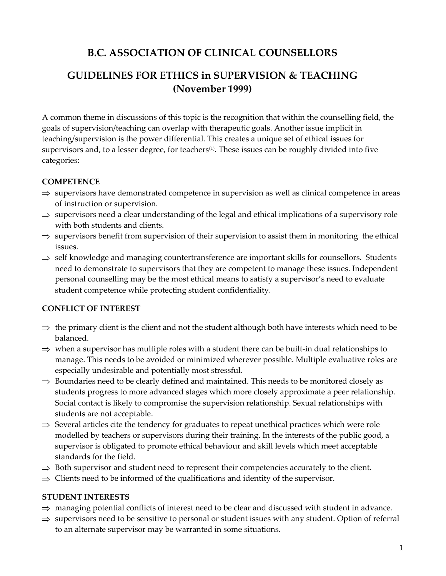# **B.C. ASSOCIATION OF CLINICAL COUNSELLORS**

## **GUIDELINES FOR ETHICS in SUPERVISION & TEACHING (November 1999)**

A common theme in discussions of this topic is the recognition that within the counselling field, the goals of supervision/teaching can overlap with therapeutic goals. Another issue implicit in teaching/supervision is the power differential. This creates a unique set of ethical issues for supervisors and, to a lesser degree, for teachers $(1)$ . These issues can be roughly divided into five categories:

### **COMPETENCE**

- $\Rightarrow$  supervisors have demonstrated competence in supervision as well as clinical competence in areas of instruction or supervision.
- $\Rightarrow$  supervisors need a clear understanding of the legal and ethical implications of a supervisory role with both students and clients.
- $\Rightarrow$  supervisors benefit from supervision of their supervision to assist them in monitoring the ethical issues.
- $\Rightarrow$  self knowledge and managing countertransference are important skills for counsellors. Students need to demonstrate to supervisors that they are competent to manage these issues. Independent personal counselling may be the most ethical means to satisfy a supervisor's need to evaluate student competence while protecting student confidentiality.

### **CONFLICT OF INTEREST**

- $\Rightarrow$  the primary client is the client and not the student although both have interests which need to be balanced.
- $\Rightarrow$  when a supervisor has multiple roles with a student there can be built-in dual relationships to manage. This needs to be avoided or minimized wherever possible. Multiple evaluative roles are especially undesirable and potentially most stressful.
- $\Rightarrow$  Boundaries need to be clearly defined and maintained. This needs to be monitored closely as students progress to more advanced stages which more closely approximate a peer relationship. Social contact is likely to compromise the supervision relationship. Sexual relationships with students are not acceptable.
- $\Rightarrow$  Several articles cite the tendency for graduates to repeat unethical practices which were role modelled by teachers or supervisors during their training. In the interests of the public good, a supervisor is obligated to promote ethical behaviour and skill levels which meet acceptable standards for the field.
- $\Rightarrow$  Both supervisor and student need to represent their competencies accurately to the client.
- $\Rightarrow$  Clients need to be informed of the qualifications and identity of the supervisor.

### **STUDENT INTERESTS**

- $\Rightarrow$  managing potential conflicts of interest need to be clear and discussed with student in advance.
- $\Rightarrow$  supervisors need to be sensitive to personal or student issues with any student. Option of referral to an alternate supervisor may be warranted in some situations.